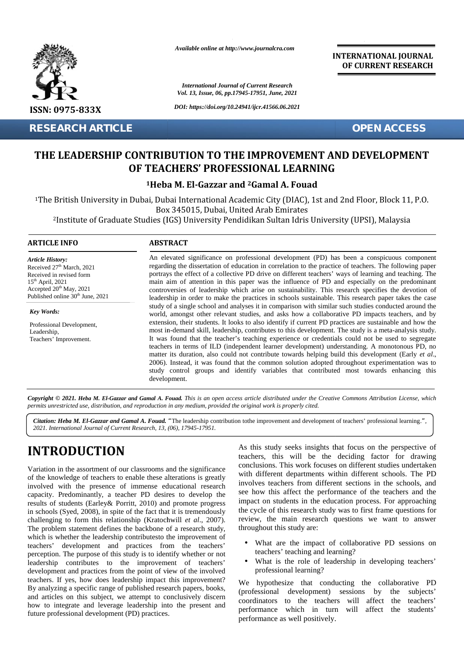

**RESEARCH ARTICLE OPEN ACCESS**

*Available online at http://www.journalcra.com*

*International Journal of Current Research Vol. 13, Issue, 06, pp.17945-17951, June, 2021*

*DOI: https://doi.org/10.24941/ijcr.41566.06.2021*

**INTERNATIONAL JOURNAL OF CURRENT RESEARCH**

## **THE LEADERSHIP CONTRIBUTION TO THE IMPROVEMENT AND DEVELOPMENT AND DEVELOPMENTOF TEACHERS' PROFESSIONAL LEARNING**

## **<sup>1</sup>Heba M. El-Gazzar and <sup>2</sup>Gamal A. Fouad <sup>1</sup>Heba <sup>2</sup>Gamal Fouad**

<sup>1</sup>The British University in Dubai, Dubai International Academic City (DIAC), 1st and 2nd Floor, Block 11, P.O. Box 345015, Dubai, United Arab Emirates British University in Dubai, Dubai International Academic City (DIAC), 1st and 2nd Floor, Block 11, P.O.<br>Box 345015, Dubai, United Arab Emirates<br>Institute of Graduate Studies (IGS) University Pendidikan Sultan Idris Univer

#### **ARTICLE INFO ABSTRACT ARTICLE ABSTRACT**

*Article History:* Received  $27<sup>th</sup>$  March, 2021 Received 27 March, 2021<br>Received in revised form 15th April, 2021 Accepted  $20<sup>th</sup>$  May, 2021 Published online  $30<sup>th</sup>$  June, 2021 **RESEARCH ART<br>
THE LEADERSE<br>
THE LEADERSE<br>
2Institute of Grand<br>
2Institute of Grand<br>
2Institute of Grand<br>
ARTICLE INFO<br>
Article History:<br>
Received in revised form<br>
15<sup>th</sup> April, 2021<br>
Accepted 20<sup>th</sup> May, 2021<br>
Accepted 20** 

*Key Words:* Professional Development, Leadership, Teachers' Improvement.

An elevated significance on professional development (PD) has been a conspicuous component An elevated significance on professional development (PD) has been a conspicuous component regarding the dissertation of education in correlation to the practice of teachers. The following paper portrays the effect of a collective PD drive on different teachers' ways of learning and teaching. The main aim of attention in this paper was the influence of PD and especially on the predominant controversies of leadership which arise on sustainability. This research specifies the devotion of leadership in order to make the practices in schools sustainable. This research paper takes the case study of a single school and analyses it in comparison with similar such studies conducted around the world, amongst other relevant studies, and asks how a collaborative PD impacts teachers, and by extension, their students. It looks to also identify if current PD practices are sustainable and how the most in-demand skill, leadership, contributes to this development. The study is a meta-analysis study. It was found that the teacher's teaching experience or credentials could not be used to segregate teachers in terms of ILD (independent learner development) understanding. A monotonous PD, no matter its duration, also could not contribute towards helping build this development (Early *et al*., 2006). Instead, it was found that the common solution adopted throughout experimentation was to study control groups and identify variables that contributed most towards enhancing this development. main aim of attention in this paper was the influence of PD and especially on the predominant controversies of leadership which arise on sustainability. This research specifies the devotion of leadership in order to make t teachers in terms of ILD (independent learner development) understanding. A monotonous PD, no<br>matter its duration, also could not contribute towards helping build this development (Early *et al.*,<br>2006). Instead, it was fo **EXERCISE CONTROLLE CONTROLLES CONTROLLES CONTROLLES CONTROLLES CONTROLLES CONTROLLES CONTROLLES CONTROLLES CONTROLLES CONTROLLES CONTROLLES CONTROLLES CONTROLLES CONTROLLES CONTROLLES CONTROLLES CONTROLLES CONTROLLES CON** development (PD) has been a conspicuotior<br>correlation to the practice of teachers. The form of the practice of teachers. The form of the influence of PD and especially on the proposition of the system of PD and especially

Copyright © 2021. Heba M. El-Gazzar and Gamal A. Fouad. This is an open access article distributed under the Creative Commons Attribution License, which permits unrestricted use, distribution, and reproduction in any medium, provided the original work is properly cited. Teachers' Improvement.<br>
Teachers' Improvement.<br>
The M. Termits unrestricted use, distributed used in the M. El-Gazz<br>
2021. International Journal

*Citation: Heba M. El-Gazzar and Gamal A. Fouad.* "The leadership contribution tothe improvement and development of teachers' professional learning.", *2021. International Journal of Current Research, 13, (06), 17945-17951.*

# **INTRODUCTION INTRODUCTION**

Variation in the assortment of our classrooms and the significance of the knowledge of teachers to enable these alterations is greatly will involved with the presence of immense educational research capacity. Predominantly, a teacher PD desires to develop the results of students (Earley& Porritt, 2010) and promote progress in schools (Syed, 2008), in spite of the fact that it is tremendously challenging to form this relationship (Kratochwill *et al*., 2007). The problem statement defines the backbone of a research study, which is whether the leadership contributesto the improvement of teachers' development and practices from the teachers' perception. The purpose of this study is to identify whether or not leadership contributes to the improvement of teachers' development and practices from the point of view of the involved teachers. If yes, how does leadership impact this improvement? By analyzing a specific range of published research papers, books, and articles on this subject, we attempt to conclusively discern how to integrate and leverage leadership into the present and future professional development (PD) practices. Variation in the assortment of our classrooms and the significance<br>of the knowledge of teachers to enable these alterations is greatly<br>involved with the presence of immense educational research<br>capacity. Predominantly, a traction in the assortment of our classrooms and the significance<br>
tractions. This work for<br>
the knowledge of teachers to enable these alterations is greatly<br>
with different department<br>
orlowed with the presence of immense

As this study seeks insights that focus on the perspective of teachers, this will be the deciding factor for drawing conclusions. This work focuses on different studies undertaken with different departments within different schools. The PD involves teachers from different sections in the schools, and see how this affect the performance of the teachers and the impact on students in the education process. For approaching the cycle of this research study was to first frame questions for review, the main research questions we want to answer throughout this study are:

- What are the impact of collaborative PD sessions on teachers' teaching and learning?
- What is the role of leadership in developing teachers' professional learning?

We hypothesize that conducting the collaborative PD (professional development) sessions by the subjects' coordinators to the teachers will affect the teachers' performance which in turn will affect the students' performance as well positively.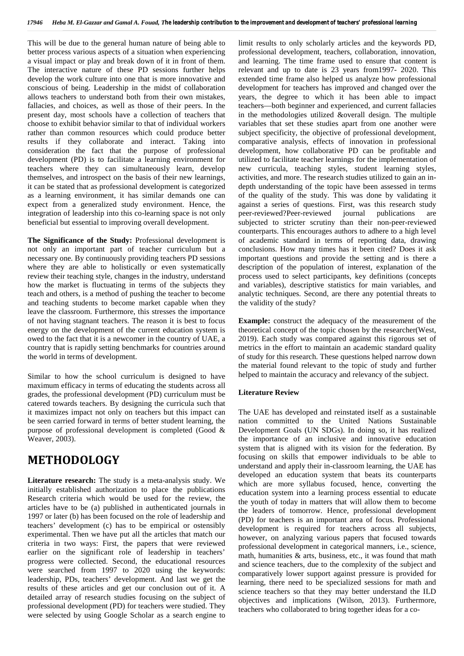This will be due to the general human nature of being able to better process various aspects of a situation when experiencing a visual impact or play and break down of it in front of them. The interactive nature of these PD sessions further helps develop the work culture into one that is more innovative and conscious of being. Leadership in the midst of collaboration allows teachers to understand both from their own mistakes, fallacies, and choices, as well as those of their peers. In the present day, most schools have a collection of teachers that choose to exhibit behavior similar to that of individual workers rather than common resources which could produce better results if they collaborate and interact. Taking into consideration the fact that the purpose of professional development (PD) is to facilitate a learning environment for teachers where they can simultaneously learn, develop themselves, and introspect on the basis of their new learnings, it can be stated that as professional development is categorized as a learning environment, it has similar demands one can expect from a generalized study environment. Hence, the integration of leadership into this co-learning space is not only beneficial but essential to improving overall development.

**The Significance of the Study:** Professional development is not only an important part of teacher curriculum but a necessary one. By continuously providing teachers PD sessions where they are able to holistically or even systematically review their teaching style, changes in the industry, understand how the market is fluctuating in terms of the subjects they teach and others, is a method of pushing the teacher to become and teaching students to become market capable when they leave the classroom. Furthermore, this stresses the importance of not having stagnant teachers. The reason it is best to focus energy on the development of the current education system is owed to the fact that it is a newcomer in the country of UAE, a country that is rapidly setting benchmarks for countries around the world in terms of development.

Similar to how the school curriculum is designed to have maximum efficacy in terms of educating the students across all grades, the professional development (PD) curriculum must be catered towards teachers. By designing the curricula such that it maximizes impact not only on teachers but this impact can be seen carried forward in terms of better student learning, the purpose of professional development is completed (Good & Weaver, 2003).

## **METHODOLOGY**

**Literature research:** The study is a meta-analysis study. We initially established authorization to place the publications Research criteria which would be used for the review, the articles have to be (a) published in authenticated journals in 1997 or later (b) has been focused on the role of leadership and teachers' development (c) has to be empirical or ostensibly experimental. Then we have put all the articles that match our criteria in two ways: First, the papers that were reviewed earlier on the significant role of leadership in teachers' progress were collected. Second, the educational resources were searched from 1997 to 2020 using the keywords: leadership, PDs, teachers' development. And last we get the results of these articles and get our conclusion out of it. A detailed array of research studies focusing on the subject of professional development (PD) for teachers were studied. They were selected by using Google Scholar as a search engine to

limit results to only scholarly articles and the keywords PD, professional development, teachers, collaboration, innovation, and learning. The time frame used to ensure that content is relevant and up to date is 23 years from1997- 2020. This extended time frame also helped us analyze how professional development for teachers has improved and changed over the years, the degree to which it has been able to impact teachers—both beginner and experienced, and current fallacies in the methodologies utilized &overall design. The multiple variables that set these studies apart from one another were subject specificity, the objective of professional development, comparative analysis, effects of innovation in professional development, how collaborative PD can be profitable and utilized to facilitate teacher learnings for the implementation of new curricula, teaching styles, student learning styles, activities, and more. The research studies utilized to gain an in depth understanding of the topic have been assessed in terms of the quality of the study. This was done by validating it against a series of questions. First, was this research study peer-reviewed?Peer-reviewed journal publications are subjected to stricter scrutiny than their non-peer-reviewed counterparts. This encourages authors to adhere to a high level of academic standard in terms of reporting data, drawing conclusions. How many times has it been cited? Does it ask important questions and provide the setting and is there a description of the population of interest, explanation of the process used to select participants, key definitions (concepts and variables), descriptive statistics for main variables, and analytic techniques. Second, are there any potential threats to the validity of the study?

**Example:** construct the adequacy of the measurement of the theoretical concept of the topic chosen by the researcher(West, 2019). Each study was compared against this rigorous set of metrics in the effort to maintain an academic standard quality of study for this research. These questions helped narrow down the material found relevant to the topic of study and further helped to maintain the accuracy and relevancy of the subject.

### **Literature Review**

The UAE has developed and reinstated itself as a sustainable nation committed to the United Nations Sustainable Development Goals (UN SDGs). In doing so, it has realized the importance of an inclusive and innovative education system that is aligned with its vision for the federation. By focusing on skills that empower individuals to be able to understand and apply their in-classroom learning, the UAE has developed an education system that beats its counterparts which are more syllabus focused, hence, converting the education system into a learning process essential to educate the youth of today in matters that will allow them to become the leaders of tomorrow. Hence, professional development (PD) for teachers is an important area of focus. Professional development is required for teachers across all subjects, however, on analyzing various papers that focused towards professional development in categorical manners, i.e., science, math, humanities  $\&$  arts, business, etc., it was found that math and science teachers, due to the complexity of the subject and comparatively lower support against pressure is provided for learning, there need to be specialized sessions for math and science teachers so that they may better understand the ILD objectives and implications (Wilson, 2013). Furthermore, teachers who collaborated to bring together ideas for a co-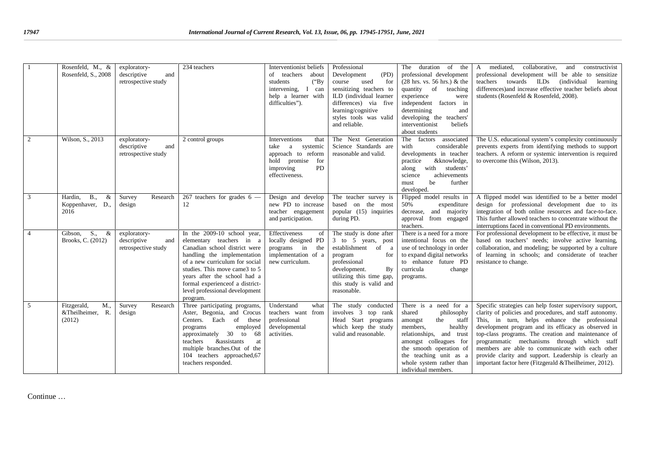|                | Rosenfeld, M., &<br>Rosenfeld, S., 2008               | exploratory-<br>descriptive<br>and<br>retrospective study | 234 teachers                                                                                                                                                                                                                                                                                                   | Interventionist beliefs<br>of teachers<br>about<br>students<br>$(^{\circ}Bv)$<br>intervening, I can<br>help a learner with<br>difficulties"). | Professional<br>Development<br>(PD)<br>for<br>used<br>course<br>sensitizing teachers to<br>ILD (individual learner<br>differences) via five<br>learning/cognitive<br>styles tools was valid<br>and reliable. | The duration<br>of<br>the<br>professional development<br>$(28 \text{ hrs. vs. } 56 \text{ hrs.})$ & the<br>quantity of<br>teaching<br>experience<br>were<br>independent factors in<br>determining<br>and<br>developing the teachers'<br>interventionist<br>beliefs<br>about students | mediated,<br>collaborative,<br>and constructivist<br>$\mathsf{A}$<br>professional development will be able to sensitize<br>teachers towards ILDs<br><i>(individual)</i><br>learning<br>differences) and increase effective teacher beliefs about<br>students (Rosenfeld & Rosenfeld, 2008).                                                                                                                                                                                                              |
|----------------|-------------------------------------------------------|-----------------------------------------------------------|----------------------------------------------------------------------------------------------------------------------------------------------------------------------------------------------------------------------------------------------------------------------------------------------------------------|-----------------------------------------------------------------------------------------------------------------------------------------------|--------------------------------------------------------------------------------------------------------------------------------------------------------------------------------------------------------------|--------------------------------------------------------------------------------------------------------------------------------------------------------------------------------------------------------------------------------------------------------------------------------------|----------------------------------------------------------------------------------------------------------------------------------------------------------------------------------------------------------------------------------------------------------------------------------------------------------------------------------------------------------------------------------------------------------------------------------------------------------------------------------------------------------|
| 2              | Wilson, S., 2013                                      | exploratory-<br>descriptive<br>and<br>retrospective study | 2 control groups                                                                                                                                                                                                                                                                                               | Interventions<br>that<br>take<br>a<br>systemic<br>approach to reform<br>hold promise<br>for<br>PD<br>improving<br>effectiveness.              | The Next Generation<br>Science Standards are<br>reasonable and valid.                                                                                                                                        | The<br>factors associated<br>with<br>considerable<br>developments in teacher<br>&knowledge,<br>practice<br>with students'<br>along<br>achievements<br>science<br>be<br>further<br>must<br>developed.                                                                                 | The U.S. educational system's complexity continuously<br>prevents experts from identifying methods to support<br>teachers. A reform or systemic intervention is required<br>to overcome this (Wilson, 2013).                                                                                                                                                                                                                                                                                             |
| 3              | <b>B.</b><br>Hardin,<br>&<br>Koppenhaver, D.,<br>2016 | Survey<br>Research<br>design                              | 267 teachers for grades $6 -$<br>12                                                                                                                                                                                                                                                                            | Design and develop<br>new PD to increase<br>teacher engagement<br>and participation.                                                          | The teacher survey is<br>based on the most<br>popular (15) inquiries<br>during PD.                                                                                                                           | Flipped model results in<br>50%<br>expenditure<br>decrease, and majority<br>approval from engaged<br>teachers.                                                                                                                                                                       | A flipped model was identified to be a better model<br>design for professional development due to its<br>integration of both online resources and face-to-face.<br>This further allowed teachers to concentrate without the<br>interruptions faced in conventional PD environments.                                                                                                                                                                                                                      |
| $\overline{4}$ | $S_{\cdot}$<br>Gibson,<br>&<br>Brooks, C. (2012)      | exploratory-<br>descriptive<br>and<br>retrospective study | In the $2009-10$ school year,<br>elementary teachers in a<br>Canadian school district were<br>handling the implementation<br>of a new curriculum for social<br>studies. This move came 3 to 5<br>years after the school had a<br>formal experience f a district-<br>level professional development<br>program. | Effectiveness<br>of<br>locally designed PD<br>programs in the<br>implementation of a<br>new curriculum.                                       | The study is done after<br>3 to 5 years, post<br>establishment of a<br>program<br>for<br>professional<br>development.<br><b>By</b><br>utilizing this time gap,<br>this study is valid and<br>reasonable.     | There is a need for a more<br>intentional focus on the<br>use of technology in order<br>to expand digital networks<br>to enhance future PD<br>curricula<br>change<br>programs.                                                                                                       | For professional development to be effective, it must be<br>based on teachers' needs; involve active learning,<br>collaboration, and modeling; be supported by a culture<br>of learning in schools; and considerate of teacher<br>resistance to change.                                                                                                                                                                                                                                                  |
| 5              | M.,<br>Fitzgerald,<br>&Theilheimer,<br>R.<br>(2012)   | Research<br>Survey<br>design                              | Three participating programs,<br>Aster, Begonia, and Crocus<br>Centers. Each of<br>these<br>employed<br>programs<br>approximately 30 to<br>- 68<br>teachers<br><b>&amp;assistants</b><br>at<br>multiple branches. Out of the<br>104 teachers approached, 67<br>teachers responded.                             | Understand<br>what<br>teachers want from<br>professional<br>developmental<br>activities.                                                      | The study conducted<br>involves 3 top rank<br>Head Start programs<br>which keep the study<br>valid and reasonable.                                                                                           | There is a need for a<br>shared<br>philosophy<br>the<br>staff<br>amongst<br>members,<br>healthy<br>relationships, and trust<br>amongst colleagues for<br>the smooth operation of<br>the teaching unit as a<br>whole system rather than<br>individual members.                        | Specific strategies can help foster supervisory support,<br>clarity of policies and procedures, and staff autonomy.<br>This, in turn, helps enhance the professional<br>development program and its efficacy as observed in<br>top-class programs. The creation and maintenance of<br>programmatic mechanisms through which staff<br>members are able to communicate with each other<br>provide clarity and support. Leadership is clearly an<br>important factor here (Fitzgerald & Theilheimer, 2012). |

Continue …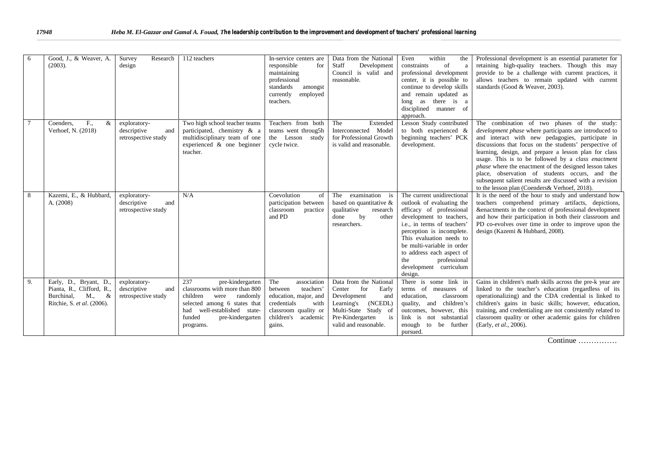| Good, J., & Weaver, A.<br>-6<br>$(2003)$ .                                                                        | Survey<br>Research<br>design                              | 112 teachers                                                                                                                                                                                    | In-service centers are<br>responsible<br>for<br>maintaining<br>professional<br>standards<br>amongst<br>currently<br>employed<br>teachers.           | Data from the National<br><b>Staff</b><br>Development<br>Council is valid and<br>reasonable.                                                                               | Even<br>within<br>the<br>constraints<br>of<br>a<br>professional development<br>center, it is possible to<br>continue to develop skills<br>and remain updated as<br>as there is a<br>long<br>disciplined manner of<br>approach.                                                                                                 | Professional development is an essential parameter for<br>retaining high-quality teachers. Though this may<br>provide to be a challenge with current practices, it<br>allows teachers to remain updated with current<br>standards (Good & Weaver, 2003).                                                                                                                                                                                                                                                                                                            |
|-------------------------------------------------------------------------------------------------------------------|-----------------------------------------------------------|-------------------------------------------------------------------------------------------------------------------------------------------------------------------------------------------------|-----------------------------------------------------------------------------------------------------------------------------------------------------|----------------------------------------------------------------------------------------------------------------------------------------------------------------------------|--------------------------------------------------------------------------------------------------------------------------------------------------------------------------------------------------------------------------------------------------------------------------------------------------------------------------------|---------------------------------------------------------------------------------------------------------------------------------------------------------------------------------------------------------------------------------------------------------------------------------------------------------------------------------------------------------------------------------------------------------------------------------------------------------------------------------------------------------------------------------------------------------------------|
| Coenders.<br>F.,<br>&<br>Verhoef, N. (2018)                                                                       | exploratory-<br>descriptive<br>and<br>retrospective study | Two high school teacher teams<br>participated, chemistry & a<br>multidisciplinary team of one<br>experienced & one beginner<br>teacher.                                                         | Teachers from both<br>teams went throug5h<br>the Lesson study<br>cycle twice.                                                                       | The<br>Extended<br>Interconnected Model<br>for Professional Growth<br>is valid and reasonable.                                                                             | Lesson Study contributed<br>to both experienced &<br>beginning teachers' PCK<br>development.                                                                                                                                                                                                                                   | The combination of two phases of the study:<br><i>development phase</i> where participants are introduced to<br>and interact with new pedagogies, participate in<br>discussions that focus on the students' perspective of<br>learning, design, and prepare a lesson plan for class<br>usage. This is to be followed by a class enactment<br>phase where the enactment of the designed lesson takes<br>place, observation of students occurs, and the<br>subsequent salient results are discussed with a revision<br>to the lesson plan (Coenders & Verhoef, 2018). |
| Kazemi, E., & Hubbard,<br>8<br>A. (2008)                                                                          | exploratory-<br>descriptive<br>and<br>retrospective study | N/A                                                                                                                                                                                             | Coevolution<br>of<br>participation between<br>classroom practice<br>and PD                                                                          | The examination is<br>based on quantitative &<br>qualitative<br>research<br>by<br>done<br>other<br>researchers.                                                            | The current unidirectional<br>outlook of evaluating the<br>efficacy of professional<br>development to teachers,<br>i.e., in terms of teachers'<br>perception is incomplete.<br>This evaluation needs to<br>be multi-variable in order<br>to address each aspect of<br>the<br>professional<br>development curriculum<br>design. | It is the need of the hour to study and understand how<br>teachers comprehend primary artifacts, depictions,<br>&enactments in the context of professional development<br>and how their participation in both their classroom and<br>PD co-evolves over time in order to improve upon the<br>design (Kazemi & Hubbard, 2008).                                                                                                                                                                                                                                       |
| Early, D., Bryant, D.,<br>9.<br>Pianta, R., Clifford, R.,<br>M.,<br>&<br>Burchinal.<br>Ritchie, S. et al. (2006). | exploratory-<br>descriptive<br>and<br>retrospective study | 237<br>pre-kindergarten<br>classrooms with more than 800<br>children<br>were randomly<br>selected among 6 states that<br>had well-established state-<br>funded<br>pre-kindergarten<br>programs. | The<br>association<br>teachers'<br>between<br>education, major, and<br>credentials<br>with<br>classroom quality or<br>children's academic<br>gains. | Data from the National<br>Center<br>for<br>Early<br>Development<br>and<br>(NCEDL)<br>Learning's<br>Multi-State Study of<br>is<br>Pre-Kindergarten<br>valid and reasonable. | There is some link in<br>terms of measures of<br>education.<br>classroom<br>quality, and children's<br>outcomes, however, this<br>link is not substantial<br>enough<br>to be further<br>pursued.                                                                                                                               | Gains in children's math skills across the pre-k year are<br>linked to the teacher's education (regardless of its<br>operationalizing) and the CDA credential is linked to<br>children's gains in basic skills; however, education,<br>training, and credentialing are not consistently related to<br>classroom quality or other academic gains for children<br>(Early, et al., 2006).                                                                                                                                                                              |

Continue ……………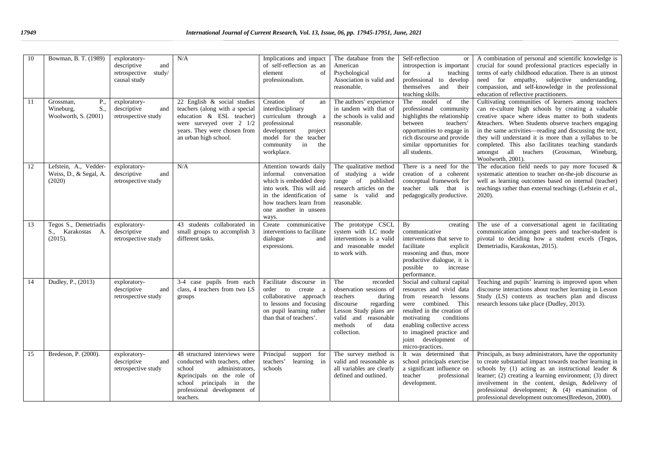| 10 | Bowman, B. T. (1989)                                         | exploratory-<br>descriptive<br>and<br>retrospective study/<br>causal study | N/A                                                                                                                                                                                                | Implications and impact<br>of self-reflection as an<br>element<br>of<br>professionalism.                                                                                                        | The database from the<br>American<br>Psychological<br>Association is valid and<br>reasonable.                                                                                        | Self-reflection<br>or<br>introspection is important<br>teaching<br>for<br>a<br>professional to develop<br>themselves and<br>their<br>teaching skills.                                                                                                                    | A combination of personal and scientific knowledge is<br>crucial for sound professional practices especially in<br>terms of early childhood education. There is an utmost<br>need for empathy, subjective understanding,<br>compassion, and self-knowledge in the professional<br>education of reflective practitioners.                                                                                                                                          |
|----|--------------------------------------------------------------|----------------------------------------------------------------------------|----------------------------------------------------------------------------------------------------------------------------------------------------------------------------------------------------|-------------------------------------------------------------------------------------------------------------------------------------------------------------------------------------------------|--------------------------------------------------------------------------------------------------------------------------------------------------------------------------------------|--------------------------------------------------------------------------------------------------------------------------------------------------------------------------------------------------------------------------------------------------------------------------|-------------------------------------------------------------------------------------------------------------------------------------------------------------------------------------------------------------------------------------------------------------------------------------------------------------------------------------------------------------------------------------------------------------------------------------------------------------------|
| 11 | P.,<br>Grossman,<br>Wineburg,<br>S.,<br>Woolworth, S. (2001) | exploratory-<br>descriptive<br>and<br>retrospective study                  | 22 English & social studies<br>teachers (along with a special<br>education & ESL teacher)<br>were surveyed over 2 1/2<br>years. They were chosen from<br>an urban high school.                     | Creation<br>of<br>an<br>interdisciplinary<br>curriculum through a<br>professional<br>development<br>project<br>model for the teacher<br>community<br>in<br>the<br>workplace.                    | The authors' experience<br>in tandem with that of<br>the schools is valid and<br>reasonable.                                                                                         | The model<br>of the<br>professional community<br>highlights the relationship<br>between<br>teachers'<br>opportunities to engage in<br>rich discourse and provide<br>similar opportunities for<br>all students.                                                           | Cultivating communities of learners among teachers<br>can re-culture high schools by creating a valuable<br>creative space where ideas matter to both students<br>&teachers. When Students observe teachers engaging<br>in the same activities—reading and discussing the text,<br>they will understand it is more than a syllabus to be<br>completed. This also facilitates teaching standards<br>amongst all teachers (Grossman, Wineburg,<br>Woolworth, 2001). |
| 12 | Lefstein, A., Vedder-<br>Weiss, D., & Segal, A.<br>(2020)    | exploratory-<br>descriptive<br>and<br>retrospective study                  | N/A                                                                                                                                                                                                | Attention towards daily<br>informal conversation<br>which is embedded deep<br>into work. This will aid<br>in the identification of<br>how teachers learn from<br>one another in unseen<br>ways. | The qualitative method<br>of studying a wide<br>range of published<br>research articles on the<br>same is valid and<br>reasonable.                                                   | There is a need for the<br>creation of a coherent<br>conceptual framework for<br>teacher talk that is<br>pedagogically productive.                                                                                                                                       | The education field needs to pay more focused $\&$<br>systematic attention to teacher on-the-job discourse as<br>well as learning outcomes based on internal (teacher)<br>teachings rather than external teachings (Lefstein et al.,<br>$2020$ ).                                                                                                                                                                                                                 |
| 13 | Tegos S., Demetriadis<br>S., Karakostas A.<br>(2015).        | exploratory-<br>descriptive<br>and<br>retrospective study                  | 43 students collaborated in<br>small groups to accomplish 3<br>different tasks.                                                                                                                    | Create communicative<br>interventions to facilitate<br>dialogue<br>and<br>expressions.                                                                                                          | The prototype CSCL<br>system with LC mode<br>interventions is a valid<br>and reasonable model<br>to work with.                                                                       | By<br>creating<br>communicative<br>interventions that serve to<br>facilitate<br>explicit<br>reasoning and thus, more<br>productive dialogue, it is<br>possible to increase<br>performance.                                                                               | The use of a conversational agent in facilitating<br>communication amongst peers and teacher-student is<br>pivotal to deciding how a student excels (Tegos,<br>Demetriadis, Karakostas, 2015).                                                                                                                                                                                                                                                                    |
| 14 | Dudley, P., (2013)                                           | exploratory-<br>descriptive<br>and<br>retrospective study                  | 3-4 case pupils from each<br>class, 4 teachers from two LS<br>groups                                                                                                                               | Facilitate discourse in<br>order to create a<br>collaborative approach<br>to lessons and focusing<br>on pupil learning rather<br>than that of teachers'.                                        | The<br>recorded<br>observation sessions of<br>teachers<br>during<br>discourse<br>regarding<br>Lesson Study plans are<br>valid and reasonable<br>methods<br>of<br>data<br>collection. | Social and cultural capital<br>resources and vivid data<br>from research lessons<br>were combined. This<br>resulted in the creation of<br>motivating<br>conditions<br>enabling collective access<br>to imagined practice and<br>joint development of<br>micro-practices. | Teaching and pupils' learning is improved upon when<br>discourse interactions about teacher learning in Lesson<br>Study (LS) contexts as teachers plan and discuss<br>research lessons take place (Dudley, 2013).                                                                                                                                                                                                                                                 |
| 15 | Bredeson, P. (2000).                                         | exploratory-<br>descriptive<br>and<br>retrospective study                  | 48 structured interviews were<br>conducted with teachers, other<br>school<br>administrators.<br>&principals on the role of<br>school principals in the<br>professional development of<br>teachers. | Principal<br>support for<br>teachers'<br>learning in<br>schools                                                                                                                                 | The survey method is<br>valid and reasonable as<br>all variables are clearly<br>defined and outlined.                                                                                | It was determined that<br>school principals exercise<br>a significant influence on<br>teacher<br>professional<br>development.                                                                                                                                            | Principals, as busy administrators, have the opportunity<br>to create substantial impact towards teacher learning in<br>schools by (1) acting as an instructional leader $\&$<br>learner; (2) creating a learning environment; (3) direct<br>involvement in the content, design, &delivery of<br>professional development; $\&$ (4) examination of<br>professional development outcomes (Bredeson, 2000).                                                         |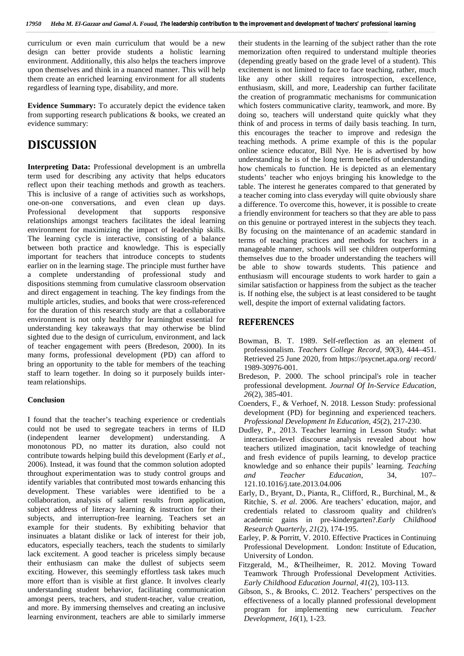curriculum or even main curriculum that would be a new design can better provide students a holistic learning environment. Additionally, this also helps the teachers improve upon themselves and think in a nuanced manner. This will help them create an enriched learning environment for all students regardless of learning type, disability, and more.

**Evidence Summary:** To accurately depict the evidence taken from supporting research publications & books, we created an evidence summary:

## **DISCUSSION**

**Interpreting Data:** Professional development is an umbrella term used for describing any activity that helps educators reflect upon their teaching methods and growth as teachers. This is inclusive of a range of activities such as workshops, one-on-one conversations, and even clean up days. Professional development that supports responsive relationships amongst teachers facilitates the ideal learning environment for maximizing the impact of leadership skills. The learning cycle is interactive, consisting of a balance between both practice and knowledge. This is especially important for teachers that introduce concepts to students earlier on in the learning stage. The principle must further have a complete understanding of professional study and dispositions stemming from cumulative classroom observation and direct engagement in teaching. The key findings from the multiple articles, studies, and books that were cross-referenced for the duration of this research study are that a collaborative environment is not only healthy for learningbut essential for understanding key takeaways that may otherwise be blind sighted due to the design of curriculum, environment, and lack of teacher engagement with peers (Bredeson, 2000). In its many forms, professional development (PD) can afford to bring an opportunity to the table for members of the teaching staff to learn together. In doing so it purposely builds interteam relationships.

#### **Conclusion**

I found that the teacher's teaching experience or credentials could not be used to segregate teachers in terms of ILD (independent learner development) understanding. A monotonous PD, no matter its duration, also could not contribute towards helping build this development (Early *et al*., 2006). Instead, it was found that the common solution adopted throughout experimentation was to study control groups and and identify variables that contributed most towards enhancing this development. These variables were identified to be a collaboration, analysis of salient results from application, subject address of literacy learning & instruction for their subjects, and interruption-free learning. Teachers set an example for their students. By exhibiting behavior that insinuates a blatant dislike or lack of interest for their job, educators, especially teachers, teach the students to similarly lack excitement. A good teacher is priceless simply because their enthusiasm can make the dullest of subjects seem exciting. However, this seemingly effortless task takes much more effort than is visible at first glance. It involves clearly understanding student behavior, facilitating communication amongst peers, teachers, and student-teacher, value creation, and more. By immersing themselves and creating an inclusive learning environment, teachers are able to similarly immerse

their students in the learning of the subject rather than the rote memorization often required to understand multiple theories (depending greatly based on the grade level of a student). This excitement is not limited to face to face teaching, rather, much like any other skill requires introspection, excellence, enthusiasm, skill, and more, Leadership can further facilitate the creation of programmatic mechanisms for communication which fosters communicative clarity, teamwork, and more. By doing so, teachers will understand quite quickly what they think of and process in terms of daily basis teaching. In turn, this encourages the teacher to improve and redesign the teaching methods. A prime example of this is the popular online science educator, Bill Nye. He is advertised by how understanding he is of the long term benefits of understanding how chemicals to function. He is depicted as an elementary students' teacher who enjoys bringing his knowledge to the table. The interest he generates compared to that generated by a teacher coming into class everyday will quite obviously share a difference. To overcome this, however, it is possible to create a friendly environment for teachers so that they are able to pass on this genuine or portrayed interest in the subjects they teach. By focusing on the maintenance of an academic standard in terms of teaching practices and methods for teachers in a manageable manner, schools will see children outperforming themselves due to the broader understanding the teachers will be able to show towards students. This patience and enthusiasm will encourage students to work harder to gain a similar satisfaction or happiness from the subject as the teacher is. If nothing else, the subject is at least considered to be taught well, despite the import of external validating factors.

## **REFERENCES**

- Bowman, B. T. 1989. Self-reflection as an element of professionalism. *Teachers College Record, 90*(3), 444–451. Retrieved 25 June 2020, from https://psycnet.apa.org/ record/ 1989-30976-001.
- Bredeson, P. 2000. The school principal's role in teacher professional development. *Journal Of In-Service Education*, *26*(2), 385-401.
- Coenders, F., & Verhoef, N. 2018. Lesson Study: professional development (PD) for beginning and experienced teachers. *Professional Development In Education*, *45*(2), 217-230.
- Dudley, P., 2013. Teacher learning in Lesson Study: what interaction-level discourse analysis revealed about how teachers utilized imagination, tacit knowledge of teaching and fresh evidence of pupils learning, to develop practice knowledge and so enhance their pupils' learning. *Teaching and Teacher Education*, 34, 107– 121.10.1016/j.tate.2013.04.006
- Early, D., Bryant, D., Pianta, R., Clifford, R., Burchinal, M., & Ritchie, S. *et al*. 2006. Are teachers' education, major, and credentials related to classroom quality and children's academic gains in pre-kindergarten?.*Early Childhood Research Quarterly*, *21*(2), 174-195.
- Earley, P. & Porritt, V. 2010. Effective Practices in Continuing Professional Development. London: Institute of Education, University of London.
- Fitzgerald, M., &Theilheimer, R. 2012. Moving Toward Teamwork Through Professional Development Activities. *Early Childhood Education Journal*, *41*(2), 103-113.
- Gibson, S., & Brooks, C. 2012. Teachers' perspectives on the effectiveness of a locally planned professional development program for implementing new curriculum. *Teacher Development*, *16*(1), 1-23.